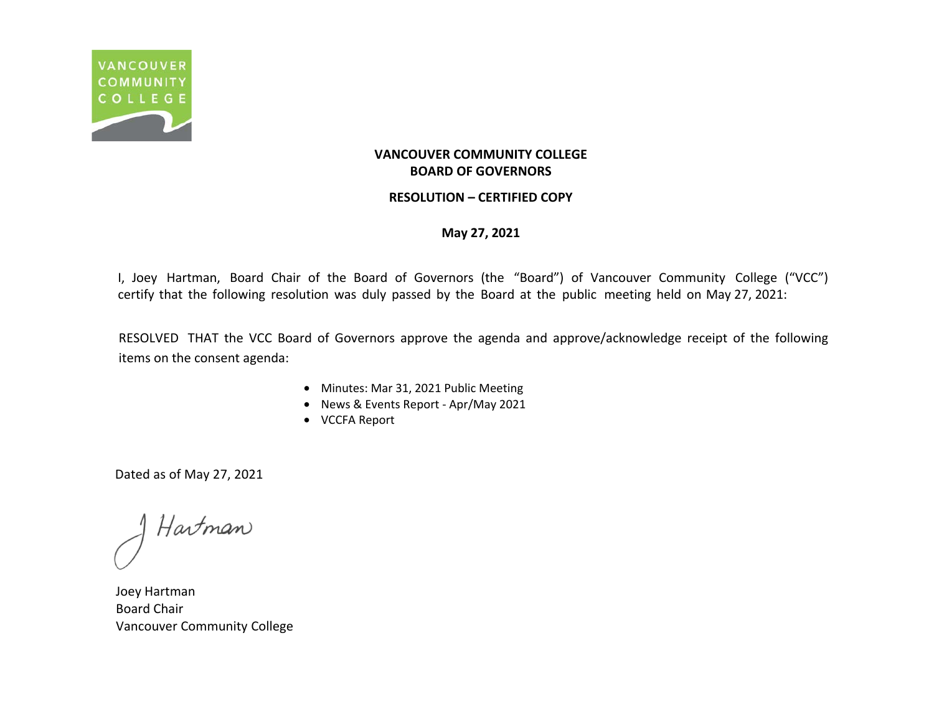

### **RESOLUTION – CERTIFIED COPY**

### **May 27, 2021**

I, Joey Hartman, Board Chair of the Board of Governors (the "Board") of Vancouver Community College ("VCC") certify that the following resolution was duly passed by the Board at the public meeting held on May 27, 2021:

RESOLVED THAT the VCC Board of Governors approve the agenda and approve/acknowledge receipt of the following items on the consent agenda:

- Minutes: Mar 31, 2021 Public Meeting
- News & Events Report Apr/May 2021
- VCCFA Report

Hartman

Joey Hartman Board Chair Vancouver Community College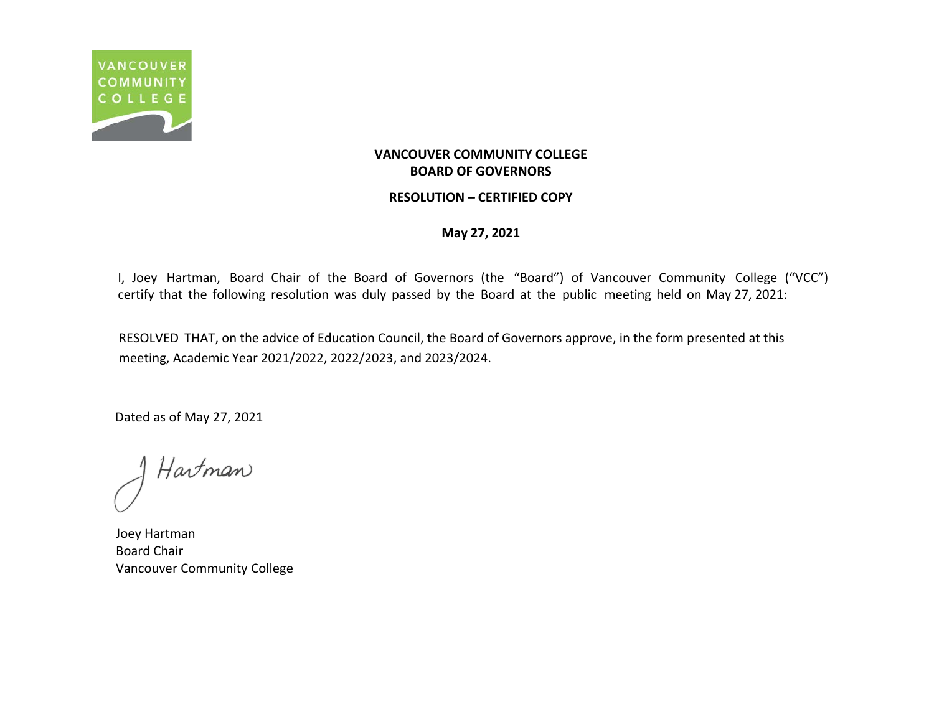

### **RESOLUTION – CERTIFIED COPY**

**May 27, 2021**

I, Joey Hartman, Board Chair of the Board of Governors (the "Board") of Vancouver Community College ("VCC") certify that the following resolution was duly passed by the Board at the public meeting held on May 27, 2021:

RESOLVED THAT, on the advice of Education Council, the Board of Governors approve, in the form presented at this meeting, Academic Year 2021/2022, 2022/2023, and 2023/2024.

Hartman

Joey Hartman Board Chair Vancouver Community College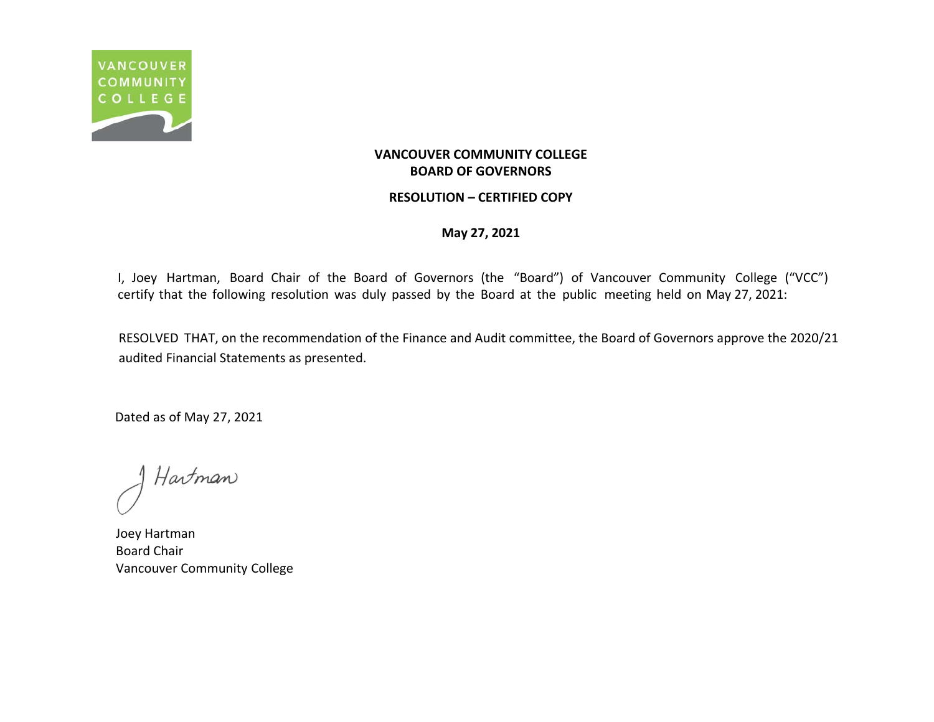

### **RESOLUTION – CERTIFIED COPY**

**May 27, 2021**

I, Joey Hartman, Board Chair of the Board of Governors (the "Board") of Vancouver Community College ("VCC") certify that the following resolution was duly passed by the Board at the public meeting held on May 27, 2021:

RESOLVED THAT, on the recommendation of the Finance and Audit committee, the Board of Governors approve the 2020/21 audited Financial Statements as presented.

Hartman

Joey Hartman Board Chair Vancouver Community College